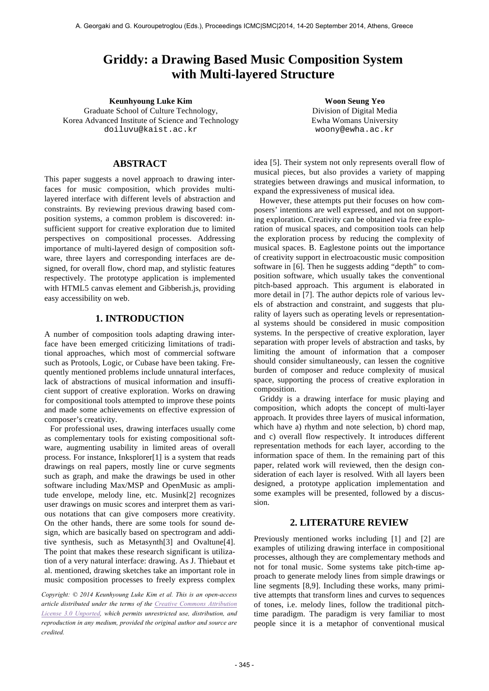# **Griddy: a Drawing Based Music Composition System with Multi-layered Structure**

**Keunhyoung Luke Kim Woon Seung Yeo** Graduate School of Culture Technology, Korea Advanced Institute of Science and Technology doiluvu@kaist.ac.kr

Division of Digital Media Ewha Womans University woony@ewha.ac.kr

# **ABSTRACT**

This paper suggests a novel approach to drawing interfaces for music composition, which provides multilayered interface with different levels of abstraction and constraints. By reviewing previous drawing based composition systems, a common problem is discovered: insufficient support for creative exploration due to limited perspectives on compositional processes. Addressing importance of multi-layered design of composition software, three layers and corresponding interfaces are designed, for overall flow, chord map, and stylistic features respectively. The prototype application is implemented with HTML5 canvas element and Gibberish.js, providing easy accessibility on web.

# **1. INTRODUCTION**

A number of composition tools adapting drawing interface have been emerged criticizing limitations of traditional approaches, which most of commercial software such as Protools, Logic, or Cubase have been taking. Frequently mentioned problems include unnatural interfaces, lack of abstractions of musical information and insufficient support of creative exploration. Works on drawing for compositional tools attempted to improve these points and made some achievements on effective expression of composer's creativity.

For professional uses, drawing interfaces usually come as complementary tools for existing compositional software, augmenting usability in limited areas of overall process. For instance, Inksplorer[1] is a system that reads drawings on real papers, mostly line or curve segments such as graph, and make the drawings be used in other software including Max/MSP and OpenMusic as amplitude envelope, melody line, etc. Musink[2] recognizes user drawings on music scores and interpret them as various notations that can give composers more creativity. On the other hands, there are some tools for sound design, which are basically based on spectrogram and additive synthesis, such as Metasynth[3] and Ovaltune[4]. The point that makes these research significant is utilization of a very natural interface: drawing. As J. Thiebaut et al. mentioned, drawing sketches take an important role in music composition processes to freely express complex

*Copyright: © 2014 Keunhyoung Luke Kim et al. This is an open-access article distributed under the terms of the Creative Commons Attribution License 3.0 Unported, which permits unrestricted use, distribution, and reproduction in any medium, provided the original author and source are credited.*

idea [5]. Their system not only represents overall flow of musical pieces, but also provides a variety of mapping strategies between drawings and musical information, to expand the expressiveness of musical idea.

However, these attempts put their focuses on how composers' intentions are well expressed, and not on supporting exploration. Creativity can be obtained via free exploration of musical spaces, and composition tools can help the exploration process by reducing the complexity of musical spaces. B. Eaglestone points out the importance of creativity support in electroacoustic music composition software in [6]. Then he suggests adding "depth" to composition software, which usually takes the conventional pitch-based approach. This argument is elaborated in more detail in [7]. The author depicts role of various levels of abstraction and constraint, and suggests that plurality of layers such as operating levels or representational systems should be considered in music composition systems. In the perspective of creative exploration, layer separation with proper levels of abstraction and tasks, by limiting the amount of information that a composer should consider simultaneously, can lessen the cognitive burden of composer and reduce complexity of musical space, supporting the process of creative exploration in composition.

Griddy is a drawing interface for music playing and composition, which adopts the concept of multi-layer approach. It provides three layers of musical information, which have a) rhythm and note selection, b) chord map, and c) overall flow respectively. It introduces different representation methods for each layer, according to the information space of them. In the remaining part of this paper, related work will reviewed, then the design consideration of each layer is resolved. With all layers been designed, a prototype application implementation and some examples will be presented, followed by a discussion.

# **2. LITERATURE REVIEW**

Previously mentioned works including [1] and [2] are examples of utilizing drawing interface in compositional processes, although they are complementary methods and not for tonal music. Some systems take pitch-time approach to generate melody lines from simple drawings or line segments [8,9]. Including these works, many primitive attempts that transform lines and curves to sequences of tones, i.e. melody lines, follow the traditional pitchtime paradigm. The paradigm is very familiar to most people since it is a metaphor of conventional musical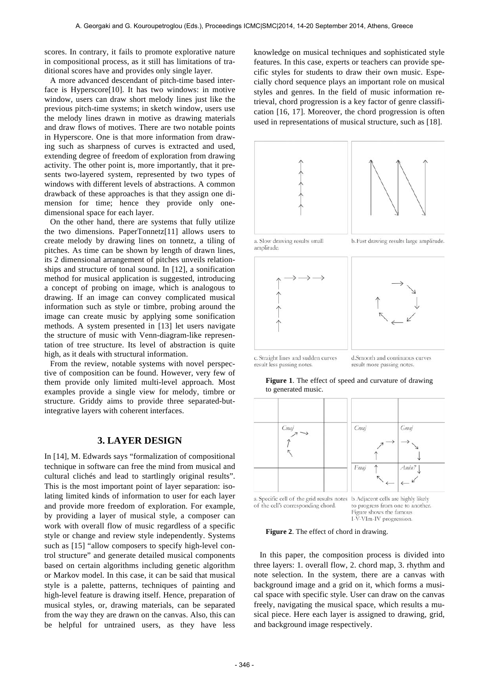scores. In contrary, it fails to promote explorative nature in compositional process, as it still has limitations of traditional scores have and provides only single layer.

A more advanced descendant of pitch-time based interface is Hyperscore[10]. It has two windows: in motive window, users can draw short melody lines just like the previous pitch-time systems; in sketch window, users use the melody lines drawn in motive as drawing materials and draw flows of motives. There are two notable points in Hyperscore. One is that more information from drawing such as sharpness of curves is extracted and used, extending degree of freedom of exploration from drawing activity. The other point is, more importantly, that it presents two-layered system, represented by two types of windows with different levels of abstractions. A common drawback of these approaches is that they assign one dimension for time; hence they provide only onedimensional space for each layer.

On the other hand, there are systems that fully utilize the two dimensions. PaperTonnetz[11] allows users to create melody by drawing lines on tonnetz, a tiling of pitches. As time can be shown by length of drawn lines, its 2 dimensional arrangement of pitches unveils relationships and structure of tonal sound. In [12], a sonification method for musical application is suggested, introducing a concept of probing on image, which is analogous to drawing. If an image can convey complicated musical information such as style or timbre, probing around the image can create music by applying some sonification methods. A system presented in [13] let users navigate the structure of music with Venn-diagram-like representation of tree structure. Its level of abstraction is quite high, as it deals with structural information.

From the review, notable systems with novel perspective of composition can be found. However, very few of them provide only limited multi-level approach. Most examples provide a single view for melody, timbre or structure. Griddy aims to provide three separated-butintegrative layers with coherent interfaces.

#### **3. LAYER DESIGN**

In [14], M. Edwards says "formalization of compositional technique in software can free the mind from musical and cultural clichés and lead to startlingly original results". This is the most important point of layer separation: isolating limited kinds of information to user for each layer and provide more freedom of exploration. For example, by providing a layer of musical style, a composer can work with overall flow of music regardless of a specific style or change and review style independently. Systems such as [15] "allow composers to specify high-level control structure" and generate detailed musical components based on certain algorithms including genetic algorithm or Markov model. In this case, it can be said that musical style is a palette, patterns, techniques of painting and high-level feature is drawing itself. Hence, preparation of musical styles, or, drawing materials, can be separated from the way they are drawn on the canvas. Also, this can be helpful for untrained users, as they have less

knowledge on musical techniques and sophisticated style features. In this case, experts or teachers can provide specific styles for students to draw their own music. Especially chord sequence plays an important role on musical styles and genres. In the field of music information retrieval, chord progression is a key factor of genre classification [16, 17]. Moreover, the chord progression is often used in representations of musical structure, such as [18].



a. Slow drawing results small amplitude

b. Fast drawing results large amplitude.



c. Straight lines and sudden curves result less passing notes.

d Smooth and continuous curves result more passing notes.

**Figure 1**. The effect of speed and curvature of drawing to generated music.



Figure shows the famous I-V-VIm-IV progression.

**Figure 2**. The effect of chord in drawing.

In this paper, the composition process is divided into three layers: 1. overall flow, 2. chord map, 3. rhythm and note selection. In the system, there are a canvas with background image and a grid on it, which forms a musical space with specific style. User can draw on the canvas freely, navigating the musical space, which results a musical piece. Here each layer is assigned to drawing, grid, and background image respectively.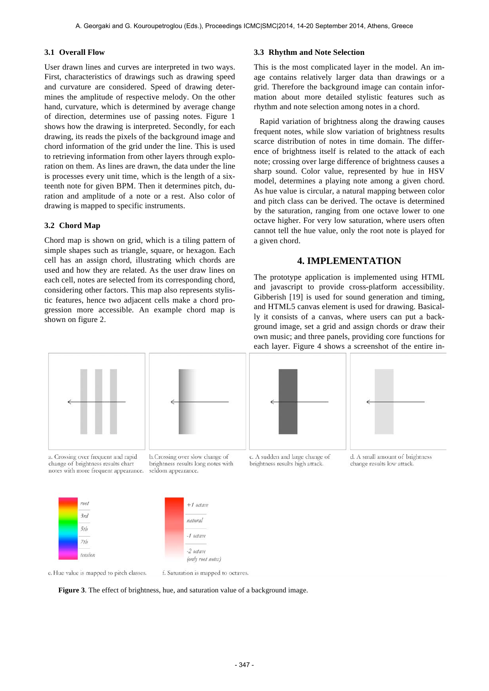#### **3.1 Overall Flow**

User drawn lines and curves are interpreted in two ways. First, characteristics of drawings such as drawing speed and curvature are considered. Speed of drawing determines the amplitude of respective melody. On the other hand, curvature, which is determined by average change of direction, determines use of passing notes. Figure 1 shows how the drawing is interpreted. Secondly, for each drawing, its reads the pixels of the background image and chord information of the grid under the line. This is used to retrieving information from other layers through exploration on them. As lines are drawn, the data under the line is processes every unit time, which is the length of a sixteenth note for given BPM. Then it determines pitch, duration and amplitude of a note or a rest. Also color of drawing is mapped to specific instruments.

#### **3.2 Chord Map**

Chord map is shown on grid, which is a tiling pattern of simple shapes such as triangle, square, or hexagon. Each cell has an assign chord, illustrating which chords are used and how they are related. As the user draw lines on each cell, notes are selected from its corresponding chord, considering other factors. This map also represents stylistic features, hence two adjacent cells make a chord progression more accessible. An example chord map is shown on figure 2.

#### **3.3 Rhythm and Note Selection**

This is the most complicated layer in the model. An image contains relatively larger data than drawings or a grid. Therefore the background image can contain information about more detailed stylistic features such as rhythm and note selection among notes in a chord.

Rapid variation of brightness along the drawing causes frequent notes, while slow variation of brightness results scarce distribution of notes in time domain. The difference of brightness itself is related to the attack of each note; crossing over large difference of brightness causes a sharp sound. Color value, represented by hue in HSV model, determines a playing note among a given chord. As hue value is circular, a natural mapping between color and pitch class can be derived. The octave is determined by the saturation, ranging from one octave lower to one octave higher. For very low saturation, where users often cannot tell the hue value, only the root note is played for a given chord.

## **4. IMPLEMENTATION**

The prototype application is implemented using HTML and javascript to provide cross-platform accessibility. Gibberish [19] is used for sound generation and timing, and HTML5 canvas element is used for drawing. Basically it consists of a canvas, where users can put a background image, set a grid and assign chords or draw their own music; and three panels, providing core functions for each layer. Figure 4 shows a screenshot of the entire in-



a. Crossing over frequent and rapid change of brightness results chart notes with more frequent appearance.



brightness results long notes with

seldom appearance.





c. A sudden and large change of brightness results high attack.

d. A small amount of brightness change results low attack.





**Figure 3**. The effect of brightness, hue, and saturation value of a background image.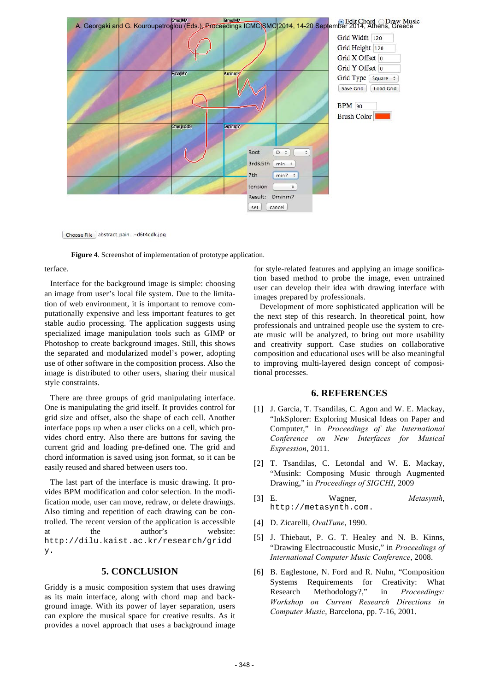

Choose File abstract\_pain...-d6t4qdk.jpg

**Figure 4**. Screenshot of implementation of prototype application.

terface.

Interface for the background image is simple: choosing an image from user's local file system. Due to the limitation of web environment, it is important to remove computationally expensive and less important features to get stable audio processing. The application suggests using specialized image manipulation tools such as GIMP or Photoshop to create background images. Still, this shows the separated and modularized model's power, adopting use of other software in the composition process. Also the image is distributed to other users, sharing their musical style constraints.

There are three groups of grid manipulating interface. One is manipulating the grid itself. It provides control for grid size and offset, also the shape of each cell. Another interface pops up when a user clicks on a cell, which provides chord entry. Also there are buttons for saving the current grid and loading pre-defined one. The grid and chord information is saved using json format, so it can be easily reused and shared between users too.

The last part of the interface is music drawing. It provides BPM modification and color selection. In the modification mode, user can move, redraw, or delete drawings. Also timing and repetition of each drawing can be controlled. The recent version of the application is accessible at the author's website: http://dilu.kaist.ac.kr/research/gridd y.

## **5. CONCLUSION**

Griddy is a music composition system that uses drawing as its main interface, along with chord map and background image. With its power of layer separation, users can explore the musical space for creative results. As it provides a novel approach that uses a background image

for style-related features and applying an image sonification based method to probe the image, even untrained user can develop their idea with drawing interface with images prepared by professionals.

Development of more sophisticated application will be the next step of this research. In theoretical point, how professionals and untrained people use the system to create music will be analyzed, to bring out more usability and creativity support. Case studies on collaborative composition and educational uses will be also meaningful to improving multi-layered design concept of compositional processes.

### **6. REFERENCES**

- [1] J. Garcia, T. Tsandilas, C. Agon and W. E. Mackay, "InkSplorer: Exploring Musical Ideas on Paper and Computer," in *Proceedings of the International Conference on New Interfaces for Musical Expression*, 2011.
- [2] T. Tsandilas, C. Letondal and W. E. Mackay, "Musink: Composing Music through Augmented Drawing," in *Proceedings of SIGCHI*, 2009
- [3] E. Wagner, *Metasynth*, http://metasynth.com.
- [4] D. Zicarelli, *OvalTune*, 1990.
- [5] J. Thiebaut, P. G. T. Healey and N. B. Kinns, "Drawing Electroacoustic Music," in *Proceedings of International Computer Music Conference*, 2008.
- [6] B. Eaglestone, N. Ford and R. Nuhn, "Composition Systems Requirements for Creativity: What Research Methodology?," in *Proceedings: Workshop on Current Research Directions in Computer Music*, Barcelona, pp. 7-16, 2001.